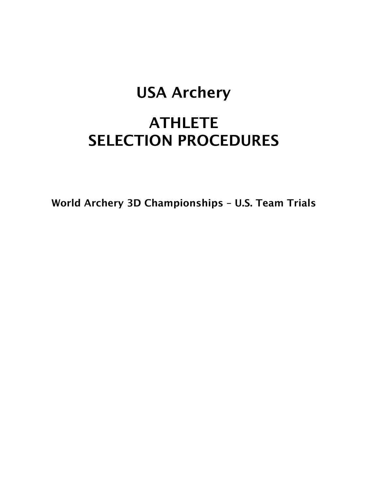## USA Archery

## **ATHLETE** SELECTION PROCEDURES

World Archery 3D Championships – U.S. Team Trials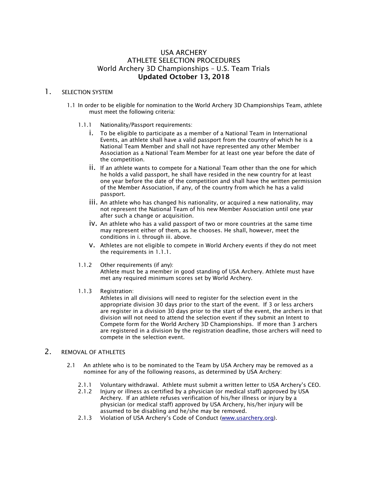#### USA ARCHERY ATHLETE SELECTION PROCEDURES World Archery 3D Championships – U.S. Team Trials Updated October 13, 2018

#### 1. SELECTION SYSTEM

- 1.1 In order to be eligible for nomination to the World Archery 3D Championships Team, athlete must meet the following criteria:
	- 1.1.1 Nationality/Passport requirements:
		- i. To be eligible to participate as a member of a National Team in International Events, an athlete shall have a valid passport from the country of which he is a National Team Member and shall not have represented any other Member Association as a National Team Member for at least one year before the date of the competition.
		- ii. If an athlete wants to compete for a National Team other than the one for which he holds a valid passport, he shall have resided in the new country for at least one year before the date of the competition and shall have the written permission of the Member Association, if any, of the country from which he has a valid passport.
		- iii. An athlete who has changed his nationality, or acquired a new nationality, may not represent the National Team of his new Member Association until one year after such a change or acquisition.
		- iv. An athlete who has a valid passport of two or more countries at the same time may represent either of them, as he chooses. He shall, however, meet the conditions in i. through iii. above.
		- v. Athletes are not eligible to compete in World Archery events if they do not meet the requirements in 1.1.1.
	- 1.1.2 Other requirements (if any): Athlete must be a member in good standing of USA Archery. Athlete must have met any required minimum scores set by World Archery.
	- 1.1.3 Registration:

Athletes in all divisions will need to register for the selection event in the appropriate division 30 days prior to the start of the event. If 3 or less archers are register in a division 30 days prior to the start of the event, the archers in that division will not need to attend the selection event if they submit an Intent to Compete form for the World Archery 3D Championships. If more than 3 archers are registered in a division by the registration deadline, those archers will need to compete in the selection event.

#### 2 REMOVAL OF ATHLETES

- 2.1 An athlete who is to be nominated to the Team by USA Archery may be removed as a nominee for any of the following reasons, as determined by USA Archery:
	- 2.1.1 Voluntary withdrawal. Athlete must submit a written letter to USA Archery's CEO.
	- 2.1.2 Injury or illness as certified by a physician (or medical staff) approved by USA Archery. If an athlete refuses verification of his/her illness or injury by a physician (or medical staff) approved by USA Archery, his/her injury will be assumed to be disabling and he/she may be removed.
	- 2.1.3 Violation of USA Archery's Code of Conduct (www.usarchery.org).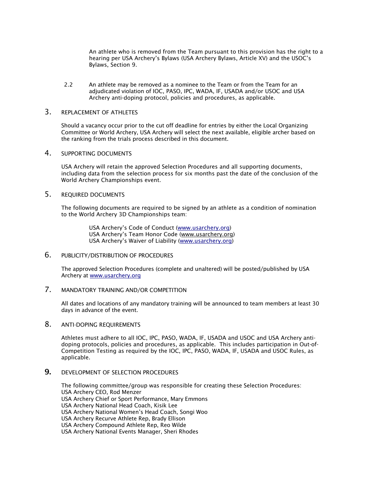An athlete who is removed from the Team pursuant to this provision has the right to a hearing per USA Archery's Bylaws (USA Archery Bylaws, Article XV) and the USOC's Bylaws, Section 9.

2.2 An athlete may be removed as a nominee to the Team or from the Team for an adjudicated violation of IOC, PASO, IPC, WADA, IF, USADA and/or USOC and USA Archery anti-doping protocol, policies and procedures, as applicable.

#### 3. REPLACEMENT OF ATHLETES

Should a vacancy occur prior to the cut off deadline for entries by either the Local Organizing Committee or World Archery, USA Archery will select the next available, eligible archer based on the ranking from the trials process described in this document.

#### 4. SUPPORTING DOCUMENTS

USA Archery will retain the approved Selection Procedures and all supporting documents, including data from the selection process for six months past the date of the conclusion of the World Archery Championships event.

#### 5. REQUIRED DOCUMENTS

The following documents are required to be signed by an athlete as a condition of nomination to the World Archery 3D Championships team:

> USA Archery's Code of Conduct (www.usarchery.org) USA Archery's Team Honor Code (www.usarchery.org) USA Archery's Waiver of Liability (www.usarchery.org)

#### 6. PUBLICITY/DISTRIBUTION OF PROCEDURES

The approved Selection Procedures (complete and unaltered) will be posted/published by USA Archery at www.usarchery.org

#### 7. MANDATORY TRAINING AND/OR COMPETITION

All dates and locations of any mandatory training will be announced to team members at least 30 days in advance of the event.

#### 8. ANTI-DOPING REQUIREMENTS

Athletes must adhere to all IOC, IPC, PASO, WADA, IF, USADA and USOC and USA Archery antidoping protocols, policies and procedures, as applicable. This includes participation in Out-of-Competition Testing as required by the IOC, IPC, PASO, WADA, IF, USADA and USOC Rules, as applicable.

#### **9. DEVELOPMENT OF SELECTION PROCEDURES**

The following committee/group was responsible for creating these Selection Procedures: USA Archery CEO, Rod Menzer USA Archery Chief or Sport Performance, Mary Emmons USA Archery National Head Coach, Kisik Lee USA Archery National Women's Head Coach, Songi Woo USA Archery Recurve Athlete Rep, Brady Ellison USA Archery Compound Athlete Rep, Reo Wilde USA Archery National Events Manager, Sheri Rhodes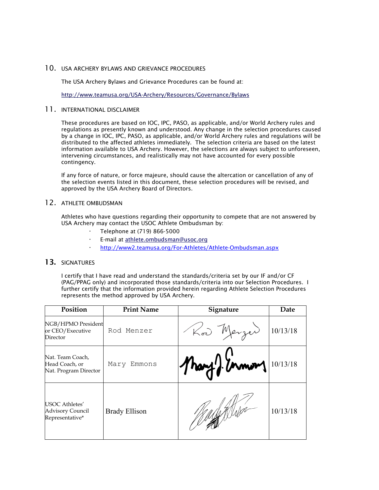#### 10. USA ARCHERY BYLAWS AND GRIEVANCE PROCEDURES

The USA Archery Bylaws and Grievance Procedures can be found at:

http://www.teamusa.org/USA-Archery/Resources/Governance/Bylaws

#### 11. INTERNATIONAL DISCLAIMER

These procedures are based on IOC, IPC, PASO, as applicable, and/or World Archery rules and regulations as presently known and understood. Any change in the selection procedures caused by a change in IOC, IPC, PASO, as applicable, and/or World Archery rules and regulations will be distributed to the affected athletes immediately. The selection criteria are based on the latest information available to USA Archery. However, the selections are always subject to unforeseen, intervening circumstances, and realistically may not have accounted for every possible contingency.

If any force of nature, or force majeure, should cause the altercation or cancellation of any of the selection events listed in this document, these selection procedures will be revised, and approved by the USA Archery Board of Directors.

#### 12. ATHLETE OMBUDSMAN

Athletes who have questions regarding their opportunity to compete that are not answered by USA Archery may contact the USOC Athlete Ombudsman by:

- · Telephone at (719) 866-5000
- · E-mail at athlete.ombudsman@usoc.org
- · http://www2.teamusa.org/For-Athletes/Athlete-Ombudsman.aspx

#### 13. SIGNATURES

I certify that I have read and understand the standards/criteria set by our IF and/or CF (PAG/PPAG only) and incorporated those standards/criteria into our Selection Procedures. I further certify that the information provided herein regarding Athlete Selection Procedures represents the method approved by USA Archery.

| Position                                                     | <b>Print Name</b>    | Signature            | Date     |
|--------------------------------------------------------------|----------------------|----------------------|----------|
| NGB/HPMO President<br>or CEO/Executive<br>Director           | Rod Menzer           | Kod Merzer           | 10/13/18 |
| Nat. Team Coach,<br>Head Coach, or<br>Nat. Program Director  | Mary Emmons          | Mary monday 10/13/18 |          |
| USOC Athletes'<br><b>Advisory Council</b><br>Representative* | <b>Brady Ellison</b> |                      | 10/13/18 |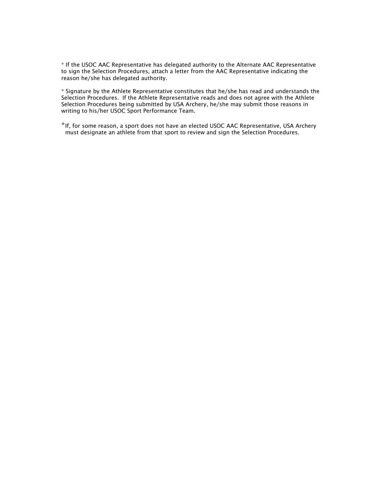\* If the USOC AAC Representative has delegated authority to the Alternate AAC Representative to sign the Selection Procedures, attach a letter from the AAC Representative indicating the reason he/she has delegated authority.

\* Signature by the Athlete Representative constitutes that he/she has read and understands the Selection Procedures. If the Athlete Representative reads and does not agree with the Athlete Selection Procedures being submitted by USA Archery, he/she may submit those reasons in writing to his/her USOC Sport Performance Team.

\*If, for some reason, a sport does not have an elected USOC AAC Representative, USA Archery must designate an athlete from that sport to review and sign the Selection Procedures.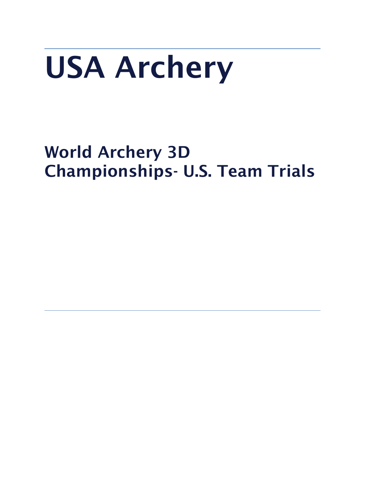# USA Archery

## World Archery 3D Championships- U.S. Team Trials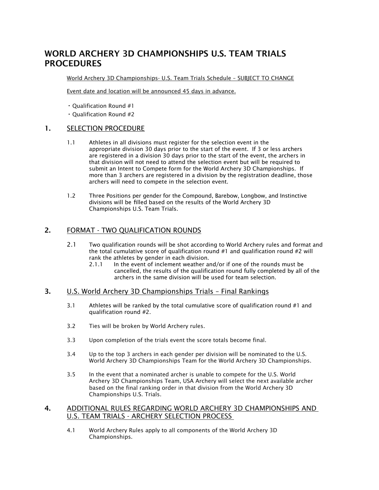### WORLD ARCHERY 3D CHAMPIONSHIPS U.S. TEAM TRIALS PROCEDURES

World Archery 3D Championships- U.S. Team Trials Schedule – SUBJECT TO CHANGE

Event date and location will be announced 45 days in advance.

- Qualification Round #1
- Qualification Round #2

#### 1. SELECTION PROCEDURE

- 1.1 Athletes in all divisions must register for the selection event in the appropriate division 30 days prior to the start of the event. If 3 or less archers are registered in a division 30 days prior to the start of the event, the archers in that division will not need to attend the selection event but will be required to submit an Intent to Compete form for the World Archery 3D Championships. If more than 3 archers are registered in a division by the registration deadline, those archers will need to compete in the selection event.
- 1.2 Three Positions per gender for the Compound, Barebow, Longbow, and Instinctive divisions will be filled based on the results of the World Archery 3D Championships U.S. Team Trials.

#### 2. FORMAT - TWO QUALIFICATION ROUNDS

- 2.1 Two qualification rounds will be shot according to World Archery rules and format and the total cumulative score of qualification round  $#1$  and qualification round  $#2$  will rank the athletes by gender in each division.
	- 2.1.1 In the event of inclement weather and/or if one of the rounds must be cancelled, the results of the qualification round fully completed by all of the archers in the same division will be used for team selection.

#### 3. U.S. World Archery 3D Championships Trials – Final Rankings

- 3.1 Athletes will be ranked by the total cumulative score of qualification round #1 and qualification round #2.
- 3.2 Ties will be broken by World Archery rules.
- 3.3 Upon completion of the trials event the score totals become final.
- 3.4 Up to the top 3 archers in each gender per division will be nominated to the U.S. World Archery 3D Championships Team for the World Archery 3D Championships.
- 3.5 In the event that a nominated archer is unable to compete for the U.S. World Archery 3D Championships Team, USA Archery will select the next available archer based on the final ranking order in that division from the World Archery 3D Championships U.S. Trials.

#### 4. ADDITIONAL RULES REGARDING WORLD ARCHERY 3D CHAMPIONSHIPS AND U.S. TEAM TRIALS - ARCHERY SELECTION PROCESS

4.1 World Archery Rules apply to all components of the World Archery 3D Championships.